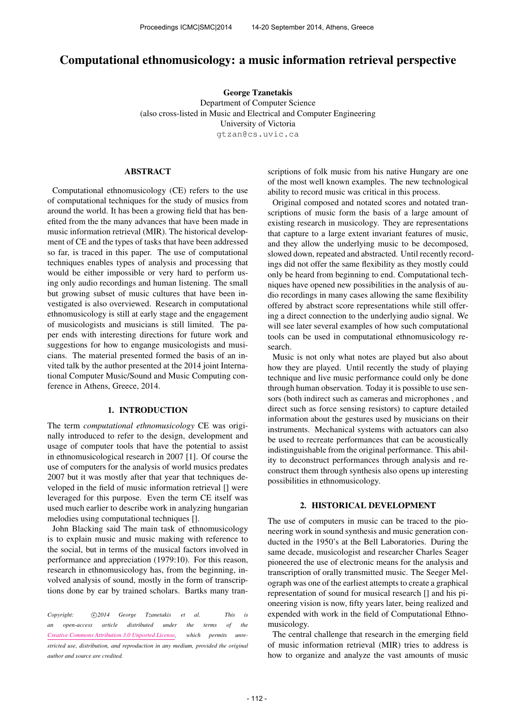# Computational ethnomusicology: a music information retrieval perspective

George Tzanetakis Department of Computer Science (also cross-listed in Music and Electrical and Computer Engineering University of Victoria

[gtzan@cs.uvic.ca](mailto:gtzan@cs.uvic.ca)

#### ABSTRACT

Computational ethnomusicology (CE) refers to the use of computational techniques for the study of musics from around the world. It has been a growing field that has benefited from the the many advances that have been made in music information retrieval (MIR). The historical development of CE and the types of tasks that have been addressed so far, is traced in this paper. The use of computational techniques enables types of analysis and processing that would be either impossible or very hard to perform using only audio recordings and human listening. The small but growing subset of music cultures that have been investigated is also overviewed. Research in computational ethnomusicology is still at early stage and the engagement of musicologists and musicians is still limited. The paper ends with interesting directions for future work and suggestions for how to engange musicologists and musicians. The material presented formed the basis of an invited talk by the author presented at the 2014 joint International Computer Music/Sound and Music Computing conference in Athens, Greece, 2014.

# 1. INTRODUCTION

The term *computational ethnomusicology* CE was originally introduced to refer to the design, development and usage of computer tools that have the potential to assist in ethnomusicological research in 2007 [1]. Of course the use of computers for the analysis of world musics predates 2007 but it was mostly after that year that techniques developed in the field of music information retrieval [] were leveraged for this purpose. Even the term CE itself was used much earlier to describe work in analyzing hungarian melodies using computational techniques [].

John Blacking said The main task of ethnomusicology is to explain music and music making with reference to the social, but in terms of the musical factors involved in performance and appreciation (1979:10). For this reason, research in ethnomusicology has, from the beginning, involved analysis of sound, mostly in the form of transcriptions done by ear by trained scholars. Bartks many tran-

Copyright:  $\bigcirc$ 2014 George Tzanetakis et al. This is *an open-access article distributed under the terms of the [Creative Commons Attribution 3.0 Unported License,](http://creativecommons.org/licenses/by/3.0/) which permits unrestricted use, distribution, and reproduction in any medium, provided the original author and source are credited.*

scriptions of folk music from his native Hungary are one of the most well known examples. The new technological ability to record music was critical in this process.

Original composed and notated scores and notated transcriptions of music form the basis of a large amount of existing research in musicology. They are representations that capture to a large extent invariant features of music, and they allow the underlying music to be decomposed, slowed down, repeated and abstracted. Until recently recordings did not offer the same flexibility as they mostly could only be heard from beginning to end. Computational techniques have opened new possibilities in the analysis of audio recordings in many cases allowing the same flexibility offered by abstract score representations while still offering a direct connection to the underlying audio signal. We will see later several examples of how such computational tools can be used in computational ethnomusicology research.

Music is not only what notes are played but also about how they are played. Until recently the study of playing technique and live music performance could only be done through human observation. Today it is possible to use sensors (both indirect such as cameras and microphones , and direct such as force sensing resistors) to capture detailed information about the gestures used by musicians on their instruments. Mechanical systems with actuators can also be used to recreate performances that can be acoustically indistinguishable from the original performance. This ability to deconstruct performances through analysis and reconstruct them through synthesis also opens up interesting possibilities in ethnomusicology.

### 2. HISTORICAL DEVELOPMENT

The use of computers in music can be traced to the pioneering work in sound synthesis and music generation conducted in the 1950's at the Bell Laboratories. During the same decade, musicologist and researcher Charles Seager pioneered the use of electronic means for the analysis and transcription of orally transmitted music. The Seeger Melograph was one of the earliest attempts to create a graphical representation of sound for musical research [] and his pioneering vision is now, fifty years later, being realized and expended with work in the field of Computational Ethnomusicology.

The central challenge that research in the emerging field of music information retrieval (MIR) tries to address is how to organize and analyze the vast amounts of music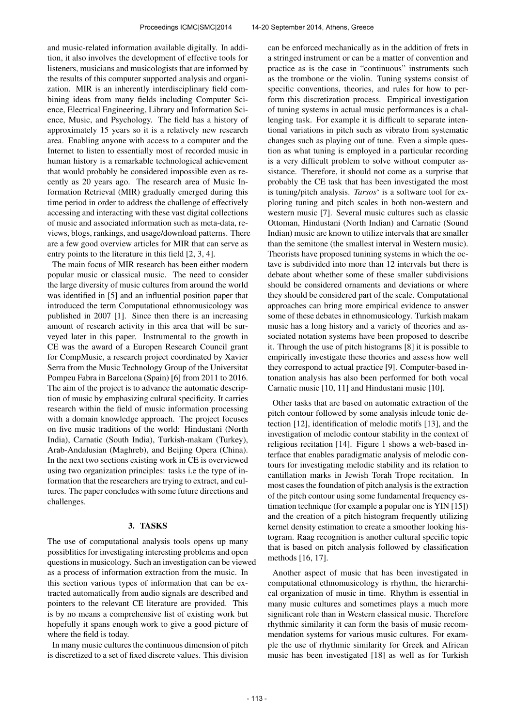and music-related information available digitally. In addition, it also involves the development of effective tools for listeners, musicians and musicologists that are informed by the results of this computer supported analysis and organization. MIR is an inherently interdisciplinary field combining ideas from many fields including Computer Science, Electrical Engineering, Library and Information Science, Music, and Psychology. The field has a history of approximately 15 years so it is a relatively new research area. Enabling anyone with access to a computer and the Internet to listen to essentially most of recorded music in human history is a remarkable technological achievement that would probably be considered impossible even as recently as 20 years ago. The research area of Music Information Retrieval (MIR) gradually emerged during this time period in order to address the challenge of effectively accessing and interacting with these vast digital collections of music and associated information such as meta-data, reviews, blogs, rankings, and usage/download patterns. There are a few good overview articles for MIR that can serve as entry points to the literature in this field [2, 3, 4].

The main focus of MIR research has been either modern popular music or classical music. The need to consider the large diversity of music cultures from around the world was identified in [5] and an influential position paper that introduced the term Computational ethnomusicology was published in 2007 [1]. Since then there is an increasing amount of research activity in this area that will be surveyed later in this paper. Instrumental to the growth in CE was the award of a Europen Research Council grant for CompMusic, a research project coordinated by Xavier Serra from the Music Technology Group of the Universitat Pompeu Fabra in Barcelona (Spain) [6] from 2011 to 2016. The aim of the project is to advance the automatic description of music by emphasizing cultural specificity. It carries research within the field of music information processing with a domain knowledge approach. The project focuses on five music traditions of the world: Hindustani (North India), Carnatic (South India), Turkish-makam (Turkey), Arab-Andalusian (Maghreb), and Beijing Opera (China). In the next two sections existing work in CE is overviewed using two organization principles: tasks i.e the type of information that the researchers are trying to extract, and cultures. The paper concludes with some future directions and challenges.

# 3. TASKS

The use of computational analysis tools opens up many possiblities for investigating interesting problems and open questions in musicology. Such an investigation can be viewed as a process of information extraction from the music. In this section various types of information that can be extracted automatically from audio signals are described and pointers to the relevant CE literature are provided. This is by no means a comprehensive list of existing work but hopefully it spans enough work to give a good picture of where the field is today.

In many music cultures the continuous dimension of pitch is discretized to a set of fixed discrete values. This division can be enforced mechanically as in the addition of frets in a stringed instrument or can be a matter of convention and practice as is the case in "continuous" instruments such as the trombone or the violin. Tuning systems consist of specific conventions, theories, and rules for how to perform this discretization process. Empirical investigation of tuning systems in actual music performances is a challenging task. For example it is difficult to separate intentional variations in pitch such as vibrato from systematic changes such as playing out of tune. Even a simple question as what tuning is employed in a particular recording is a very difficult problem to solve without computer assistance. Therefore, it should not come as a surprise that probably the CE task that has been investigated the most is tuning/pitch analysis. *Tarsos*' is a software tool for exploring tuning and pitch scales in both non-western and western music [7]. Several music cultures such as classic Ottoman, Hindustani (North Indian) and Carnatic (Sound Indian) music are known to utilize intervals that are smaller than the semitone (the smallest interval in Western music). Theorists have proposed tunining systems in which the octave is subdivided into more than 12 intervals but there is debate about whether some of these smaller subdivisions should be considered ornaments and deviations or where they should be considered part of the scale. Computational approaches can bring more empirical evidence to answer some of these debates in ethnomusicology. Turkish makam music has a long history and a variety of theories and associated notation systems have been proposed to describe it. Through the use of pitch histograms [8] it is possible to empirically investigate these theories and assess how well they correspond to actual practice [9]. Computer-based intonation analysis has also been performed for both vocal Carnatic music [10, 11] and Hindustani music [10].

Other tasks that are based on automatic extraction of the pitch contour followed by some analysis inlcude tonic detection [12], identification of melodic motifs [13], and the investigation of melodic contour stability in the context of religious recitation [14]. Figure 1 shows a web-based interface that enables paradigmatic analysis of melodic contours for investigating melodic stability and its relation to cantillation marks in Jewish Torah Trope recitation. In most cases the foundation of pitch analysis is the extraction of the pitch contour using some fundamental frequency estimation technique (for example a popular one is YIN [15]) and the creation of a pitch histogram frequently utilizing kernel density estimation to create a smoother looking histogram. Raag recognition is another cultural specific topic that is based on pitch analysis followed by classification methods [16, 17].

Another aspect of music that has been investigated in computational ethnomusicology is rhythm, the hierarchical organization of music in time. Rhythm is essential in many music cultures and sometimes plays a much more significant role than in Western classical music. Therefore rhythmic similarity it can form the basis of music recommendation systems for various music cultures. For example the use of rhythmic similarity for Greek and African music has been investigated [18] as well as for Turkish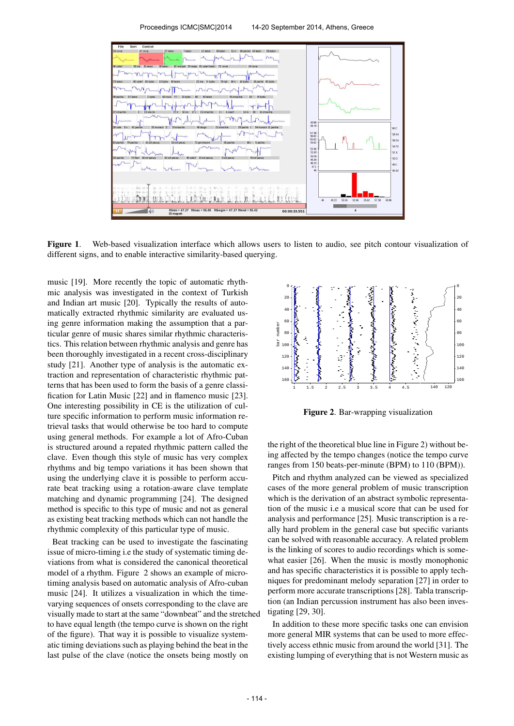Proceedings ICMC|SMC|2014 14-20 September 2014, Athens, Greece



Figure 1. Web-based visualization interface which allows users to listen to audio, see pitch contour visualization of different signs, and to enable interactive similarity-based querying.

music [19]. More recently the topic of automatic rhythmic analysis was investigated in the context of Turkish and Indian art music [20]. Typically the results of automatically extracted rhythmic similarity are evaluated using genre information making the assumption that a particular genre of music shares similar rhythmic characteristics. This relation between rhythmic analysis and genre has been thoroughly investigated in a recent cross-disciplinary study [21]. Another type of analysis is the automatic extraction and representation of characteristic rhythmic patterns that has been used to form the basis of a genre classification for Latin Music [22] and in flamenco music [23]. One interesting possibility in CE is the utilization of culture specific information to perform music information retrieval tasks that would otherwise be too hard to compute using general methods. For example a lot of Afro-Cuban is structured around a repated rhythmic pattern called the clave. Even though this style of music has very complex rhythms and big tempo variations it has been shown that using the underlying clave it is possible to perform accurate beat tracking using a rotation-aware clave template matching and dynamic programming [24]. The designed method is specific to this type of music and not as general as existing beat tracking methods which can not handle the rhythmic complexity of this particular type of music.

Beat tracking can be used to investigate the fascinating issue of micro-timing i.e the study of systematic timing deviations from what is considered the canonical theoretical model of a rhythm. Figure 2 shows an example of microtiming analysis based on automatic analysis of Afro-cuban music [24]. It utilizes a visualization in which the timevarying sequences of onsets corresponding to the clave are visually made to start at the same "downbeat" and the stretched to have equal length (the tempo curve is shown on the right of the figure). That way it is possible to visualize systematic timing deviations such as playing behind the beat in the last pulse of the clave (notice the onsets being mostly on



Figure 2. Bar-wrapping visualization

the right of the theoretical blue line in Figure 2) without being affected by the tempo changes (notice the tempo curve ranges from 150 beats-per-minute (BPM) to 110 (BPM)).

Pitch and rhythm analyzed can be viewed as specialized cases of the more general problem of music transcription which is the derivation of an abstract symbolic representation of the music i.e a musical score that can be used for analysis and performance [25]. Music transcription is a really hard problem in the general case but specific variants can be solved with reasonable accuracy. A related problem is the linking of scores to audio recordings which is somewhat easier [26]. When the music is mostly monophonic and has specific characteristics it is possible to apply techniques for predominant melody separation [27] in order to perform more accurate transcriptions [28]. Tabla transcription (an Indian percussion instrument has also been investigating [29, 30].

In addition to these more specific tasks one can envision more general MIR systems that can be used to more effectively access ethnic music from around the world [31]. The existing lumping of everything that is not Western music as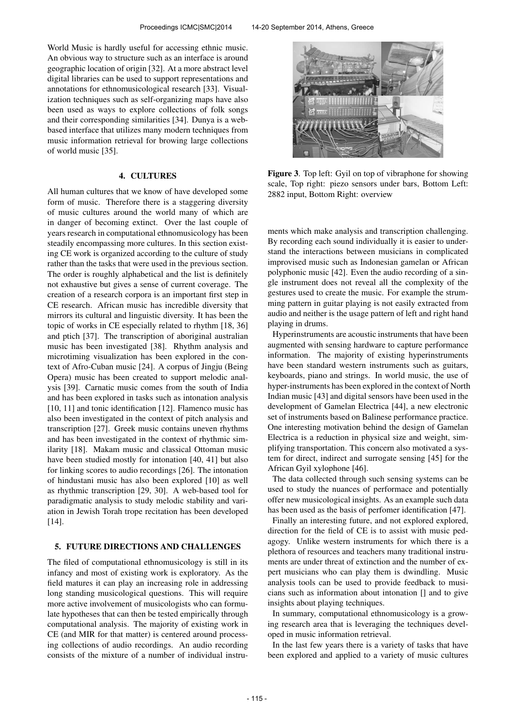World Music is hardly useful for accessing ethnic music. An obvious way to structure such as an interface is around geographic location of origin [32]. At a more abstract level digital libraries can be used to support representations and annotations for ethnomusicological research [33]. Visualization techniques such as self-organizing maps have also been used as ways to explore collections of folk songs and their corresponding similarities [34]. Dunya is a webbased interface that utilizes many modern techniques from music information retrieval for browing large collections of world music [35].

# 4. CULTURES

All human cultures that we know of have developed some form of music. Therefore there is a staggering diversity of music cultures around the world many of which are in danger of becoming extinct. Over the last couple of years research in computational ethnomusicology has been steadily encompassing more cultures. In this section existing CE work is organized according to the culture of study rather than the tasks that were used in the previous section. The order is roughly alphabetical and the list is definitely not exhaustive but gives a sense of current coverage. The creation of a research corpora is an important first step in CE research. African music has incredible diversity that mirrors its cultural and linguistic diversity. It has been the topic of works in CE especially related to rhythm [18, 36] and ptich [37]. The transcription of aboriginal australian music has been investigated [38]. Rhythm analysis and microtiming visualization has been explored in the context of Afro-Cuban music [24]. A corpus of Jingju (Being Opera) music has been created to support melodic analysis [39]. Carnatic music comes from the south of India and has been explored in tasks such as intonation analysis [10, 11] and tonic identification [12]. Flamenco music has also been investigated in the context of pitch analysis and transcription [27]. Greek music contains uneven rhythms and has been investigated in the context of rhythmic similarity [18]. Makam music and classical Ottoman music have been studied mostly for intonation [40, 41] but also for linking scores to audio recordings [26]. The intonation of hindustani music has also been explored [10] as well as rhythmic transcription [29, 30]. A web-based tool for paradigmatic analysis to study melodic stability and variation in Jewish Torah trope recitation has been developed [14].

#### 5. FUTURE DIRECTIONS AND CHALLENGES

The filed of computational ethnomusicology is still in its infancy and most of existing work is exploratory. As the field matures it can play an increasing role in addressing long standing musicological questions. This will require more active involvement of musicologists who can formulate hypotheses that can then be tested empirically through computational analysis. The majority of existing work in CE (and MIR for that matter) is centered around processing collections of audio recordings. An audio recording consists of the mixture of a number of individual instru-



Figure 3. Top left: Gyil on top of vibraphone for showing scale, Top right: piezo sensors under bars, Bottom Left: 2882 input, Bottom Right: overview

ments which make analysis and transcription challenging. By recording each sound individually it is easier to understand the interactions between musicians in complicated improvised music such as Indonesian gamelan or African polyphonic music [42]. Even the audio recording of a single instrument does not reveal all the complexity of the gestures used to create the music. For example the strumming pattern in guitar playing is not easily extracted from audio and neither is the usage pattern of left and right hand playing in drums.

Hyperinstruments are acoustic instruments that have been augmented with sensing hardware to capture performance information. The majority of existing hyperinstruments have been standard western instruments such as guitars, keyboards, piano and strings. In world music, the use of hyper-instruments has been explored in the context of North Indian music [43] and digital sensors have been used in the development of Gamelan Electrica [44], a new electronic set of instruments based on Balinese performance practice. One interesting motivation behind the design of Gamelan Electrica is a reduction in physical size and weight, simplifying transportation. This concern also motivated a system for direct, indirect and surrogate sensing [45] for the African Gyil xylophone [46].

The data collected through such sensing systems can be used to study the nuances of performace and potentially offer new musicological insights. As an example such data has been used as the basis of perfomer identification [47].

Finally an interesting future, and not explored explored, direction for the field of CE is to assist with music pedagogy. Unlike western instruments for which there is a plethora of resources and teachers many traditional instruments are under threat of extinction and the number of expert musicians who can play them is dwindling. Music analysis tools can be used to provide feedback to musicians such as information about intonation [] and to give insights about playing techniques.

In summary, computational ethnomusicology is a growing research area that is leveraging the techniques developed in music information retrieval.

In the last few years there is a variety of tasks that have been explored and applied to a variety of music cultures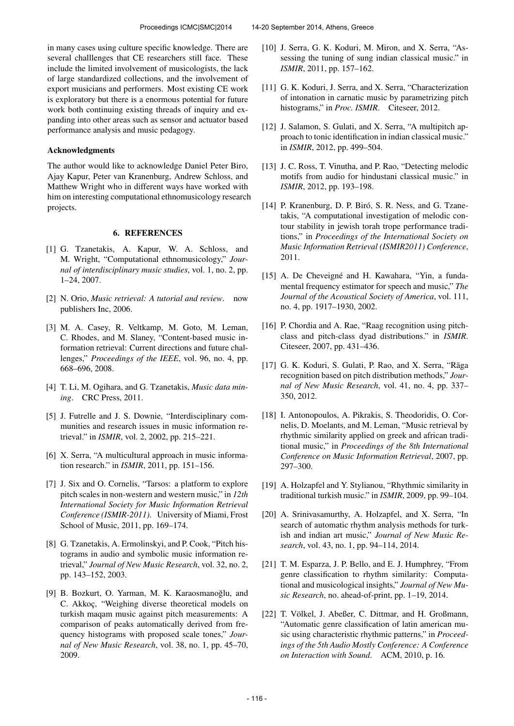in many cases using culture specific knowledge. There are several challlenges that CE researchers still face. These include the limited involvement of musicologists, the lack of large standardized collections, and the involvement of export musicians and performers. Most existing CE work is exploratory but there is a enormous potential for future work both continuing existing threads of inquiry and expanding into other areas such as sensor and actuator based performance analysis and music pedagogy.

#### Acknowledgments

The author would like to acknowledge Daniel Peter Biro, Ajay Kapur, Peter van Kranenburg, Andrew Schloss, and Matthew Wright who in different ways have worked with him on interesting computational ethnomusicology research projects.

# 6. REFERENCES

- [1] G. Tzanetakis, A. Kapur, W. A. Schloss, and M. Wright, "Computational ethnomusicology," *Journal of interdisciplinary music studies*, vol. 1, no. 2, pp. 1–24, 2007.
- [2] N. Orio, *Music retrieval: A tutorial and review*. now publishers Inc, 2006.
- [3] M. A. Casey, R. Veltkamp, M. Goto, M. Leman, C. Rhodes, and M. Slaney, "Content-based music information retrieval: Current directions and future challenges," *Proceedings of the IEEE*, vol. 96, no. 4, pp. 668–696, 2008.
- [4] T. Li, M. Ogihara, and G. Tzanetakis, *Music data mining*. CRC Press, 2011.
- [5] J. Futrelle and J. S. Downie, "Interdisciplinary communities and research issues in music information retrieval." in *ISMIR*, vol. 2, 2002, pp. 215–221.
- [6] X. Serra, "A multicultural approach in music information research." in *ISMIR*, 2011, pp. 151–156.
- [7] J. Six and O. Cornelis, "Tarsos: a platform to explore pitch scales in non-western and western music," in *12th International Society for Music Information Retrieval Conference (ISMIR-2011)*. University of Miami, Frost School of Music, 2011, pp. 169–174.
- [8] G. Tzanetakis, A. Ermolinskyi, and P. Cook, "Pitch histograms in audio and symbolic music information retrieval," *Journal of New Music Research*, vol. 32, no. 2, pp. 143–152, 2003.
- [9] B. Bozkurt, O. Yarman, M. K. Karaosmanoğlu, and C. Akkoç, "Weighing diverse theoretical models on turkish maqam music against pitch measurements: A comparison of peaks automatically derived from frequency histograms with proposed scale tones," *Journal of New Music Research*, vol. 38, no. 1, pp. 45–70, 2009.
- [10] J. Serra, G. K. Koduri, M. Miron, and X. Serra, "Assessing the tuning of sung indian classical music." in *ISMIR*, 2011, pp. 157–162.
- [11] G. K. Koduri, J. Serra, and X. Serra, "Characterization" of intonation in carnatic music by parametrizing pitch histograms," in *Proc. ISMIR*. Citeseer, 2012.
- [12] J. Salamon, S. Gulati, and X. Serra, "A multipitch approach to tonic identification in indian classical music." in *ISMIR*, 2012, pp. 499–504.
- [13] J. C. Ross, T. Vinutha, and P. Rao, "Detecting melodic motifs from audio for hindustani classical music." in *ISMIR*, 2012, pp. 193–198.
- [14] P. Kranenburg, D. P. Biró, S. R. Ness, and G. Tzanetakis, "A computational investigation of melodic contour stability in jewish torah trope performance traditions," in *Proceedings of the International Society on Music Information Retrieval (ISMIR2011) Conference*, 2011.
- [15] A. De Cheveigné and H. Kawahara, "Yin, a fundamental frequency estimator for speech and music," *The Journal of the Acoustical Society of America*, vol. 111, no. 4, pp. 1917–1930, 2002.
- [16] P. Chordia and A. Rae, "Raag recognition using pitchclass and pitch-class dyad distributions." in *ISMIR*. Citeseer, 2007, pp. 431–436.
- [17] G. K. Koduri, S. Gulati, P. Rao, and X. Serra, "Rāga recognition based on pitch distribution methods," *Journal of New Music Research*, vol. 41, no. 4, pp. 337– 350, 2012.
- [18] I. Antonopoulos, A. Pikrakis, S. Theodoridis, O. Cornelis, D. Moelants, and M. Leman, "Music retrieval by rhythmic similarity applied on greek and african traditional music," in *Proceedings of the 8th International Conference on Music Information Retrieval*, 2007, pp. 297–300.
- [19] A. Holzapfel and Y. Stylianou, "Rhythmic similarity in traditional turkish music." in *ISMIR*, 2009, pp. 99–104.
- [20] A. Srinivasamurthy, A. Holzapfel, and X. Serra, "In search of automatic rhythm analysis methods for turkish and indian art music," *Journal of New Music Research*, vol. 43, no. 1, pp. 94–114, 2014.
- [21] T. M. Esparza, J. P. Bello, and E. J. Humphrey, "From genre classification to rhythm similarity: Computational and musicological insights," *Journal of New Music Research*, no. ahead-of-print, pp. 1–19, 2014.
- [22] T. Völkel, J. Abeßer, C. Dittmar, and H. Großmann, "Automatic genre classification of latin american music using characteristic rhythmic patterns," in *Proceedings of the 5th Audio Mostly Conference: A Conference on Interaction with Sound*. ACM, 2010, p. 16.